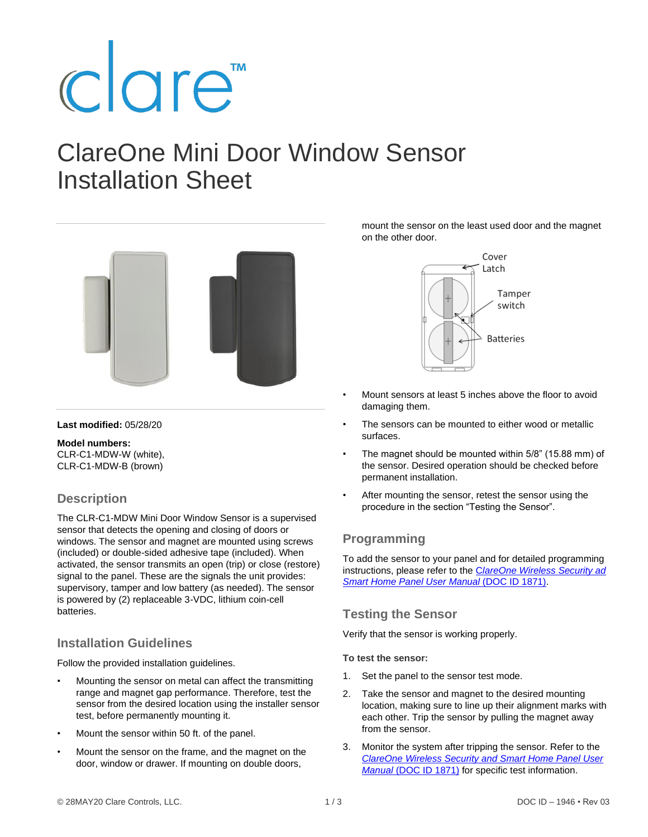# clare<sup>"</sup>

# ClareOne Mini Door Window Sensor Installation Sheet



#### **Last modified:** 05/28/20

**Model numbers:** CLR-C1-MDW-W (white), CLR-C1-MDW-B (brown)

# **Description**

The CLR-C1-MDW Mini Door Window Sensor is a supervised sensor that detects the opening and closing of doors or windows. The sensor and magnet are mounted using screws (included) or double-sided adhesive tape (included). When activated, the sensor transmits an open (trip) or close (restore) signal to the panel. These are the signals the unit provides: supervisory, tamper and low battery (as needed). The sensor is powered by (2) replaceable 3-VDC, lithium coin-cell batteries.

# **Installation Guidelines**

Follow the provided installation guidelines.

- Mounting the sensor on metal can affect the transmitting range and magnet gap performance. Therefore, test the sensor from the desired location using the installer sensor test, before permanently mounting it.
- Mount the sensor within 50 ft. of the panel.
- Mount the sensor on the frame, and the magnet on the door, window or drawer. If mounting on double doors,

mount the sensor on the least used door and the magnet on the other door.



- Mount sensors at least 5 inches above the floor to avoid damaging them.
- The sensors can be mounted to either wood or metallic surfaces.
- The magnet should be mounted within 5/8" (15.88 mm) of the sensor. Desired operation should be checked before permanent installation.
- After mounting the sensor, retest the sensor using the procedure in the section "Testing the Sensor".

# **Programming**

To add the sensor to your panel and for detailed programming instructions, please refer to the C*[lareOne Wireless Security ad](https://www.clarecontrols.com/helpcenter/clareone-panel-user-manual-doc-id-1871#Sensor-management)  [Smart Home Panel User Manual](https://www.clarecontrols.com/helpcenter/clareone-panel-user-manual-doc-id-1871#Sensor-management)* (DOC ID 1871).

# **Testing the Sensor**

Verify that the sensor is working properly.

**To test the sensor:** 

- 1. Set the panel to the sensor test mode.
- 2. Take the sensor and magnet to the desired mounting location, making sure to line up their alignment marks with each other. Trip the sensor by pulling the magnet away from the sensor.
- 3. Monitor the system after tripping the sensor. Refer to the *[ClareOne Wireless Security and Smart Home Panel User](https://www.clarecontrols.com/helpcenter/clareone-panel-user-manual-doc-id-1871#System-tests)  Manual* [\(DOC ID 1871\)](https://www.clarecontrols.com/helpcenter/clareone-panel-user-manual-doc-id-1871#System-tests) for specific test information.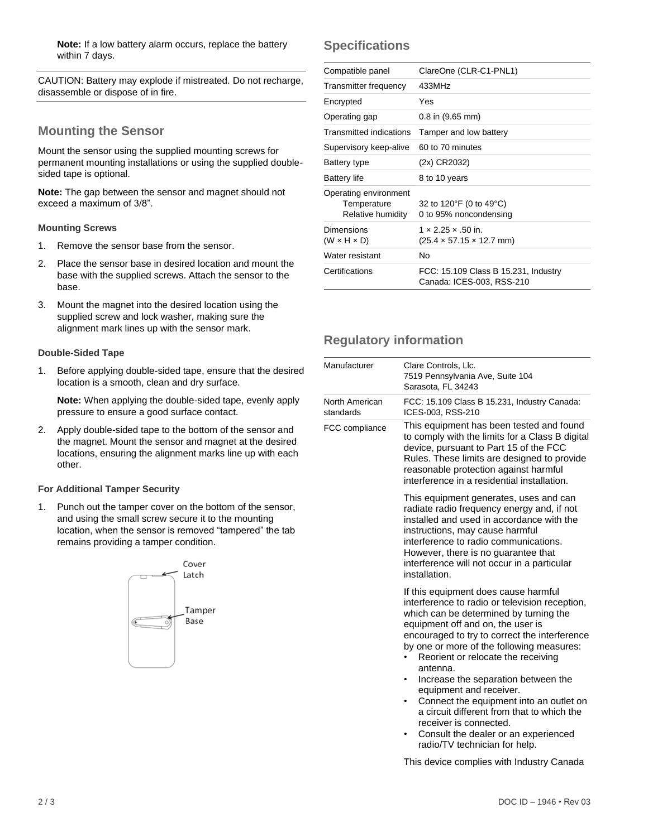**Note:** If a low battery alarm occurs, replace the battery within 7 days.

CAUTION: Battery may explode if mistreated. Do not recharge, disassemble or dispose of in fire.

# **Mounting the Sensor**

Mount the sensor using the supplied mounting screws for permanent mounting installations or using the supplied doublesided tape is optional.

**Note:** The gap between the sensor and magnet should not exceed a maximum of 3/8".

#### **Mounting Screws**

- 1. Remove the sensor base from the sensor.
- 2. Place the sensor base in desired location and mount the base with the supplied screws. Attach the sensor to the base.
- 3. Mount the magnet into the desired location using the supplied screw and lock washer, making sure the alignment mark lines up with the sensor mark.

#### **Double-Sided Tape**

1. Before applying double-sided tape, ensure that the desired location is a smooth, clean and dry surface.

**Note:** When applying the double-sided tape, evenly apply pressure to ensure a good surface contact.

2. Apply double-sided tape to the bottom of the sensor and the magnet. Mount the sensor and magnet at the desired locations, ensuring the alignment marks line up with each other.

#### **For Additional Tamper Security**

1. Punch out the tamper cover on the bottom of the sensor, and using the small screw secure it to the mounting location, when the sensor is removed "tampered" the tab remains providing a tamper condition.



# **Specifications**

| Compatible panel                                          | ClareOne (CLR-C1-PNL1)                                                         |
|-----------------------------------------------------------|--------------------------------------------------------------------------------|
| Transmitter frequency                                     | 433MHz                                                                         |
| Encrypted                                                 | Yes                                                                            |
| Operating gap                                             | $0.8$ in $(9.65$ mm)                                                           |
| Transmitted indications                                   | Tamper and low battery                                                         |
| Supervisory keep-alive                                    | 60 to 70 minutes                                                               |
| Battery type                                              | (2x) CR2032)                                                                   |
| <b>Battery life</b>                                       | 8 to 10 years                                                                  |
| Operating environment<br>Temperature<br>Relative humidity | 32 to 120°F (0 to 49°C)<br>0 to 95% noncondensing                              |
| Dimensions<br>$(W \times H \times D)$                     | $1 \times 2.25 \times .50$ in.<br>$(25.4 \times 57.15 \times 12.7 \text{ mm})$ |
| Water resistant                                           | No                                                                             |
| Certifications                                            | FCC: 15.109 Class B 15.231, Industry<br>Canada: ICES-003, RSS-210              |
|                                                           |                                                                                |

# **Regulatory information**

| Manufacturer                | Clare Controls, Llc.<br>7519 Pennsylvania Ave, Suite 104<br>Sarasota, FL 34243                                                                                                                                                                                                                                                                                                                                                                                                                                                                                                      |
|-----------------------------|-------------------------------------------------------------------------------------------------------------------------------------------------------------------------------------------------------------------------------------------------------------------------------------------------------------------------------------------------------------------------------------------------------------------------------------------------------------------------------------------------------------------------------------------------------------------------------------|
| North American<br>standards | FCC: 15.109 Class B 15.231, Industry Canada:<br>ICES-003, RSS-210                                                                                                                                                                                                                                                                                                                                                                                                                                                                                                                   |
| FCC compliance              | This equipment has been tested and found<br>to comply with the limits for a Class B digital<br>device, pursuant to Part 15 of the FCC<br>Rules. These limits are designed to provide<br>reasonable protection against harmful<br>interference in a residential installation.                                                                                                                                                                                                                                                                                                        |
|                             | This equipment generates, uses and can<br>radiate radio frequency energy and, if not<br>installed and used in accordance with the<br>instructions, may cause harmful<br>interference to radio communications.<br>However, there is no guarantee that<br>interference will not occur in a particular<br>installation.                                                                                                                                                                                                                                                                |
|                             | If this equipment does cause harmful<br>interference to radio or television reception,<br>which can be determined by turning the<br>equipment off and on, the user is<br>encouraged to try to correct the interference<br>by one or more of the following measures:<br>Reorient or relocate the receiving<br>antenna.<br>Increase the separation between the<br>equipment and receiver.<br>Connect the equipment into an outlet on<br>a circuit different from that to which the<br>receiver is connected.<br>Consult the dealer or an experienced<br>radio/TV technician for help. |

This device complies with Industry Canada